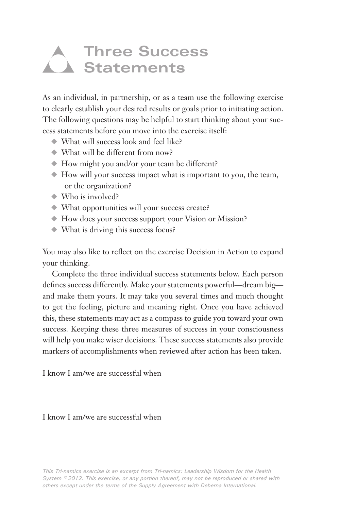## **Three Success Statements**

As an individual, in partnership, or as a team use the following exercise to clearly establish your desired results or goals prior to initiating action. The following questions may be helpful to start thinking about your success statements before you move into the exercise itself:

- $\blacklozenge$  What will success look and feel like?
- $\rightarrow$  What will be different from now?
- V How might you and/or your team be different?
- V How will your success impact what is important to you, the team, or the organization?
- $\rightarrow$  Who is involved?
- V What opportunities will your success create?
- V How does your success support your Vision or Mission?
- $\blacklozenge$  What is driving this success focus?

You may also like to reflect on the exercise Decision in Action to expand your thinking.

Complete the three individual success statements below. Each person defines success differently. Make your statements powerful—dream big and make them yours. It may take you several times and much thought to get the feeling, picture and meaning right. Once you have achieved this, these statements may act as a compass to guide you toward your own success. Keeping these three measures of success in your consciousness will help you make wiser decisions. These success statements also provide markers of accomplishments when reviewed after action has been taken.

I know I am/we are successful when

I know I am/we are successful when